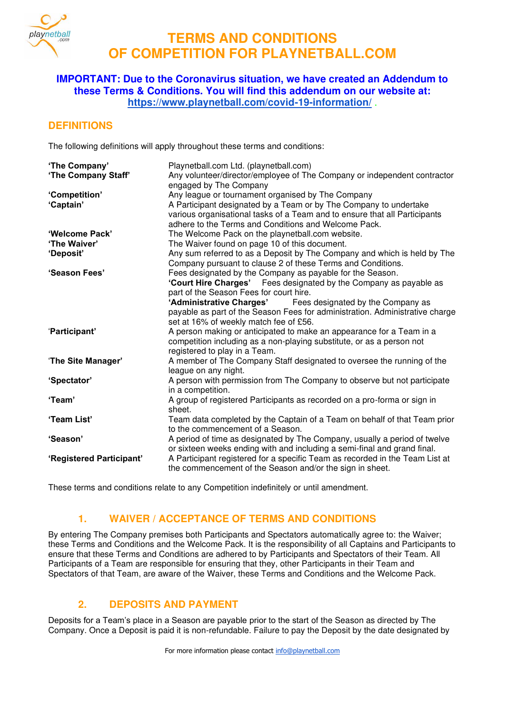

## **IMPORTANT: Due to the Coronavirus situation, we have created an Addendum to these Terms & Conditions. You will find this addendum on our website at: <https://www.playnetball.com/covid-19-information/>** .

## **DEFINITIONS**

The following definitions will apply throughout these terms and conditions:

| 'The Company'<br>'The Company Staff' | Playnetball.com Ltd. (playnetball.com)<br>Any volunteer/director/employee of The Company or independent contractor<br>engaged by The Company                                                                                                                 |  |  |
|--------------------------------------|--------------------------------------------------------------------------------------------------------------------------------------------------------------------------------------------------------------------------------------------------------------|--|--|
| 'Competition'<br>'Captain'           | Any league or tournament organised by The Company<br>A Participant designated by a Team or by The Company to undertake<br>various organisational tasks of a Team and to ensure that all Participants<br>adhere to the Terms and Conditions and Welcome Pack. |  |  |
| 'Welcome Pack'                       | The Welcome Pack on the playnetball.com website.                                                                                                                                                                                                             |  |  |
| 'The Waiver'                         | The Waiver found on page 10 of this document.                                                                                                                                                                                                                |  |  |
| 'Deposit'                            | Any sum referred to as a Deposit by The Company and which is held by The<br>Company pursuant to clause 2 of these Terms and Conditions.                                                                                                                      |  |  |
| 'Season Fees'                        | Fees designated by the Company as payable for the Season.<br>'Court Hire Charges' Fees designated by the Company as payable as<br>part of the Season Fees for court hire.<br>'Administrative Charges' Fees designated by the Company as                      |  |  |
|                                      | payable as part of the Season Fees for administration. Administrative charge<br>set at 16% of weekly match fee of £56.                                                                                                                                       |  |  |
| 'Participant'                        | A person making or anticipated to make an appearance for a Team in a<br>competition including as a non-playing substitute, or as a person not<br>registered to play in a Team.                                                                               |  |  |
| 'The Site Manager'                   | A member of The Company Staff designated to oversee the running of the<br>league on any night.                                                                                                                                                               |  |  |
| 'Spectator'                          | A person with permission from The Company to observe but not participate<br>in a competition.                                                                                                                                                                |  |  |
| 'Team'                               | A group of registered Participants as recorded on a pro-forma or sign in<br>sheet.                                                                                                                                                                           |  |  |
| 'Team List'                          | Team data completed by the Captain of a Team on behalf of that Team prior<br>to the commencement of a Season.                                                                                                                                                |  |  |
| 'Season'                             | A period of time as designated by The Company, usually a period of twelve<br>or sixteen weeks ending with and including a semi-final and grand final.                                                                                                        |  |  |
| 'Registered Participant'             | A Participant registered for a specific Team as recorded in the Team List at<br>the commencement of the Season and/or the sign in sheet.                                                                                                                     |  |  |

These terms and conditions relate to any Competition indefinitely or until amendment.

# **1. WAIVER / ACCEPTANCE OF TERMS AND CONDITIONS**

By entering The Company premises both Participants and Spectators automatically agree to: the Waiver; these Terms and Conditions and the Welcome Pack. It is the responsibility of all Captains and Participants to ensure that these Terms and Conditions are adhered to by Participants and Spectators of their Team. All Participants of a Team are responsible for ensuring that they, other Participants in their Team and Spectators of that Team, are aware of the Waiver, these Terms and Conditions and the Welcome Pack.

# **2. DEPOSITS AND PAYMENT**

Deposits for a Team's place in a Season are payable prior to the start of the Season as directed by The Company. Once a Deposit is paid it is non-refundable. Failure to pay the Deposit by the date designated by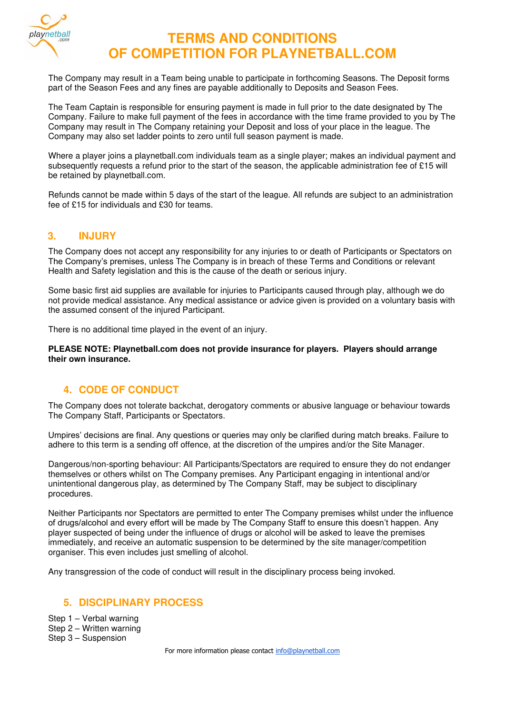

The Company may result in a Team being unable to participate in forthcoming Seasons. The Deposit forms part of the Season Fees and any fines are payable additionally to Deposits and Season Fees.

The Team Captain is responsible for ensuring payment is made in full prior to the date designated by The Company. Failure to make full payment of the fees in accordance with the time frame provided to you by The Company may result in The Company retaining your Deposit and loss of your place in the league. The Company may also set ladder points to zero until full season payment is made.

Where a player joins a playnetball.com individuals team as a single player; makes an individual payment and subsequently requests a refund prior to the start of the season, the applicable administration fee of £15 will be retained by playnetball.com.

Refunds cannot be made within 5 days of the start of the league. All refunds are subject to an administration fee of £15 for individuals and £30 for teams.

## **3. INJURY**

The Company does not accept any responsibility for any injuries to or death of Participants or Spectators on The Company's premises, unless The Company is in breach of these Terms and Conditions or relevant Health and Safety legislation and this is the cause of the death or serious injury.

Some basic first aid supplies are available for injuries to Participants caused through play, although we do not provide medical assistance. Any medical assistance or advice given is provided on a voluntary basis with the assumed consent of the injured Participant.

There is no additional time played in the event of an injury.

**PLEASE NOTE: Playnetball.com does not provide insurance for players. Players should arrange their own insurance.**

## **4. CODE OF CONDUCT**

The Company does not tolerate backchat, derogatory comments or abusive language or behaviour towards The Company Staff, Participants or Spectators.

Umpires' decisions are final. Any questions or queries may only be clarified during match breaks. Failure to adhere to this term is a sending off offence, at the discretion of the umpires and/or the Site Manager.

Dangerous/non-sporting behaviour: All Participants/Spectators are required to ensure they do not endanger themselves or others whilst on The Company premises. Any Participant engaging in intentional and/or unintentional dangerous play, as determined by The Company Staff, may be subject to disciplinary procedures.

Neither Participants nor Spectators are permitted to enter The Company premises whilst under the influence of drugs/alcohol and every effort will be made by The Company Staff to ensure this doesn't happen. Any player suspected of being under the influence of drugs or alcohol will be asked to leave the premises immediately, and receive an automatic suspension to be determined by the site manager/competition organiser. This even includes just smelling of alcohol.

Any transgression of the code of conduct will result in the disciplinary process being invoked.

## **5. DISCIPLINARY PROCESS**

Step 1 – Verbal warning Step 2 – Written warning Step 3 – Suspension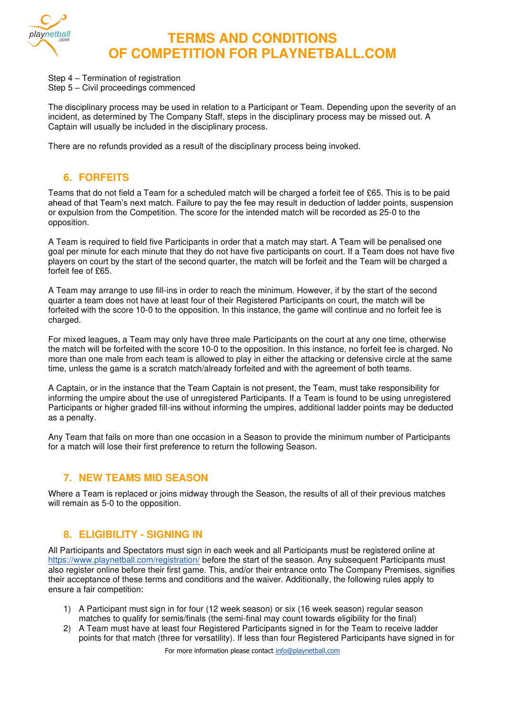

- Step 4 Termination of registration
- Step 5 Civil proceedings commenced

The disciplinary process may be used in relation to a Participant or Team. Depending upon the severity of an incident, as determined by The Company Staff, steps in the disciplinary process may be missed out. A Captain will usually be included in the disciplinary process.

There are no refunds provided as a result of the disciplinary process being invoked.

# **6. FORFEITS**

Teams that do not field a Team for a scheduled match will be charged a forfeit fee of £65. This is to be paid ahead of that Team's next match. Failure to pay the fee may result in deduction of ladder points, suspension or expulsion from the Competition. The score for the intended match will be recorded as 25-0 to the opposition.

A Team is required to field five Participants in order that a match may start. A Team will be penalised one goal per minute for each minute that they do not have five participants on court. If a Team does not have five players on court by the start of the second quarter, the match will be forfeit and the Team will be charged a forfeit fee of £65.

A Team may arrange to use fill-ins in order to reach the minimum. However, if by the start of the second quarter a team does not have at least four of their Registered Participants on court, the match will be forfeited with the score 10-0 to the opposition. In this instance, the game will continue and no forfeit fee is charged.

For mixed leagues, a Team may only have three male Participants on the court at any one time, otherwise the match will be forfeited with the score 10-0 to the opposition. In this instance, no forfeit fee is charged. No more than one male from each team is allowed to play in either the attacking or defensive circle at the same time, unless the game is a scratch match/already forfeited and with the agreement of both teams.

A Captain, or in the instance that the Team Captain is not present, the Team, must take responsibility for informing the umpire about the use of unregistered Participants. If a Team is found to be using unregistered Participants or higher graded fill-ins without informing the umpires, additional ladder points may be deducted as a penalty.

Any Team that fails on more than one occasion in a Season to provide the minimum number of Participants for a match will lose their first preference to return the following Season.

# **7. NEW TEAMS MID SEASON**

Where a Team is replaced or joins midway through the Season, the results of all of their previous matches will remain as 5-0 to the opposition.

## **8. ELIGIBILITY - SIGNING IN**

All Participants and Spectators must sign in each week and all Participants must be registered online at <https://www.playnetball.com/registration/>before the start of the season. Any subsequent Participants must also register online before their first game. This, and/or their entrance onto The Company Premises, signifies their acceptance of these terms and conditions and the waiver. Additionally, the following rules apply to ensure a fair competition:

- 1) A Participant must sign in for four (12 week season) or six (16 week season) regular season matches to qualify for semis/finals (the semi-final may count towards eligibility for the final)
- 2) A Team must have at least four Registered Participants signed in for the Team to receive ladder points for that match (three for versatility). If less than four Registered Participants have signed in for

For more information please contact [info@playnetball.com](mailto:info@playnetball.com)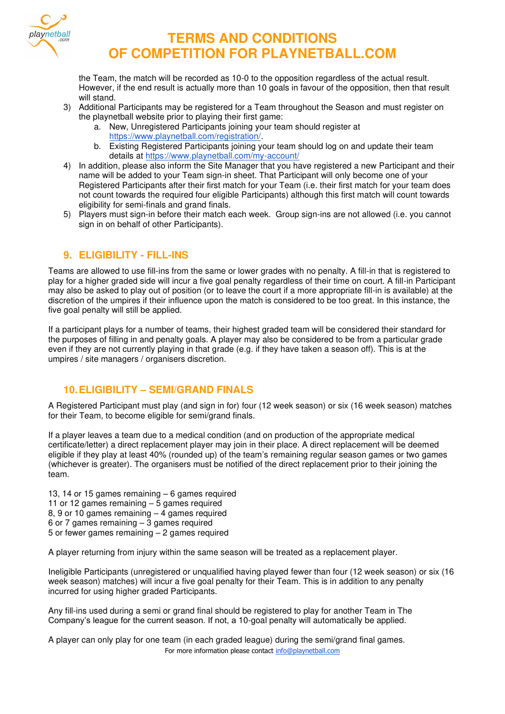

the Team, the match will be recorded as 10-0 to the opposition regardless of the actual result. However, if the end result is actually more than 10 goals in favour of the opposition, then that result will stand.

- 3) Additional Participants may be registered for a Team throughout the Season and must register on the playnetball website prior to playing their first game:
	- a. New, Unregistered Participants joining your team should register at [https://www.playnetball.com/registration/.](https://www.playnetball.com/registration/)
	- b. Existing Registered Participants joining your team should log on and update their team details at<https://www.playnetball.com/my-account/>
- 4) In addition, please also inform the Site Manager that you have registered a new Participant and their name will be added to your Team sign-in sheet. That Participant will only become one of your Registered Participants after their first match for your Team (i.e. their first match for your team does not count towards the required four eligible Participants) although this first match will count towards eligibility for semi-finals and grand finals.
- 5) Players must sign-in before their match each week. Group sign-ins are not allowed (i.e. you cannot sign in on behalf of other Participants).

## **9. ELIGIBILITY - FILL-INS**

Teams are allowed to use fill-ins from the same or lower grades with no penalty. A fill-in that is registered to play for a higher graded side will incur a five goal penalty regardless of their time on court. A fill-in Participant may also be asked to play out of position (or to leave the court if a more appropriate fill-in is available) at the discretion of the umpires if their influence upon the match is considered to be too great. In this instance, the five goal penalty will still be applied.

If a participant plays for a number of teams, their highest graded team will be considered their standard for the purposes of filling in and penalty goals. A player may also be considered to be from a particular grade even if they are not currently playing in that grade (e.g. if they have taken a season off). This is at the umpires / site managers / organisers discretion.

## **10. ELIGIBILITY – SEMI/GRAND FINALS**

A Registered Participant must play (and sign in for) four (12 week season) or six (16 week season) matches for their Team, to become eligible for semi/grand finals.

If a player leaves a team due to a medical condition (and on production of the appropriate medical certificate/letter) a direct replacement player may join in their place. A direct replacement will be deemed eligible if they play at least 40% (rounded up) of the team's remaining regular season games or two games (whichever is greater). The organisers must be notified of the direct replacement prior to their joining the team.

13, 14 or 15 games remaining – 6 games required 11 or 12 games remaining – 5 games required 8, 9 or 10 games remaining – 4 games required 6 or 7 games remaining – 3 games required 5 or fewer games remaining – 2 games required

A player returning from injury within the same season will be treated as a replacement player.

Ineligible Participants (unregistered or unqualified having played fewer than four (12 week season) or six (16 week season) matches) will incur a five goal penalty for their Team. This is in addition to any penalty incurred for using higher graded Participants.

Any fill-ins used during a semi or grand final should be registered to play for another Team in The Company's league for the current season. If not, a 10-goal penalty will automatically be applied.

For more information please contact [info@playnetball.com](mailto:info@playnetball.com)  A player can only play for one team (in each graded league) during the semi/grand final games.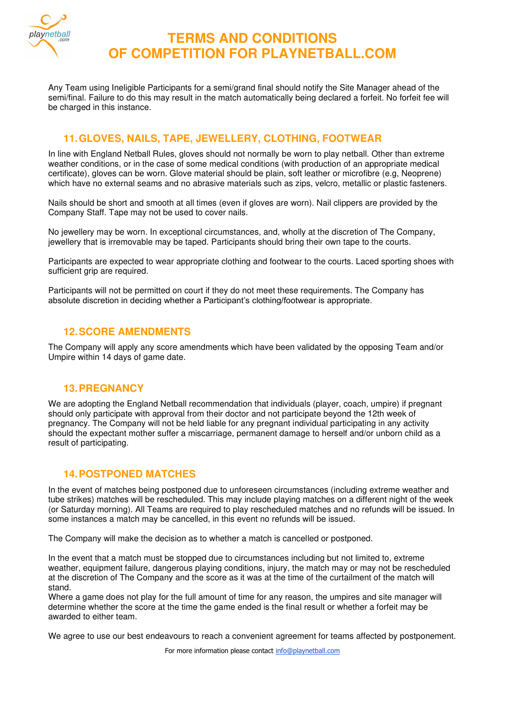

Any Team using Ineligible Participants for a semi/grand final should notify the Site Manager ahead of the semi/final. Failure to do this may result in the match automatically being declared a forfeit. No forfeit fee will be charged in this instance.

# **11. GLOVES, NAILS, TAPE, JEWELLERY, CLOTHING, FOOTWEAR**

In line with England Netball Rules, gloves should not normally be worn to play netball. Other than extreme weather conditions, or in the case of some medical conditions (with production of an appropriate medical certificate), gloves can be worn. Glove material should be plain, soft leather or microfibre (e.g, Neoprene) which have no external seams and no abrasive materials such as zips, velcro, metallic or plastic fasteners.

Nails should be short and smooth at all times (even if gloves are worn). Nail clippers are provided by the Company Staff. Tape may not be used to cover nails.

No jewellery may be worn. In exceptional circumstances, and, wholly at the discretion of The Company, jewellery that is irremovable may be taped. Participants should bring their own tape to the courts.

Participants are expected to wear appropriate clothing and footwear to the courts. Laced sporting shoes with sufficient grip are required.

Participants will not be permitted on court if they do not meet these requirements. The Company has absolute discretion in deciding whether a Participant's clothing/footwear is appropriate.

### **12. SCORE AMENDMENTS**

The Company will apply any score amendments which have been validated by the opposing Team and/or Umpire within 14 days of game date.

#### **13. PREGNANCY**

We are adopting the England Netball recommendation that individuals (player, coach, umpire) if pregnant should only participate with approval from their doctor and not participate beyond the 12th week of pregnancy. The Company will not be held liable for any pregnant individual participating in any activity should the expectant mother suffer a miscarriage, permanent damage to herself and/or unborn child as a result of participating.

#### **14. POSTPONED MATCHES**

In the event of matches being postponed due to unforeseen circumstances (including extreme weather and tube strikes) matches will be rescheduled. This may include playing matches on a different night of the week (or Saturday morning). All Teams are required to play rescheduled matches and no refunds will be issued. In some instances a match may be cancelled, in this event no refunds will be issued.

The Company will make the decision as to whether a match is cancelled or postponed.

In the event that a match must be stopped due to circumstances including but not limited to, extreme weather, equipment failure, dangerous playing conditions, injury, the match may or may not be rescheduled at the discretion of The Company and the score as it was at the time of the curtailment of the match will stand.

Where a game does not play for the full amount of time for any reason, the umpires and site manager will determine whether the score at the time the game ended is the final result or whether a forfeit may be awarded to either team.

We agree to use our best endeavours to reach a convenient agreement for teams affected by postponement.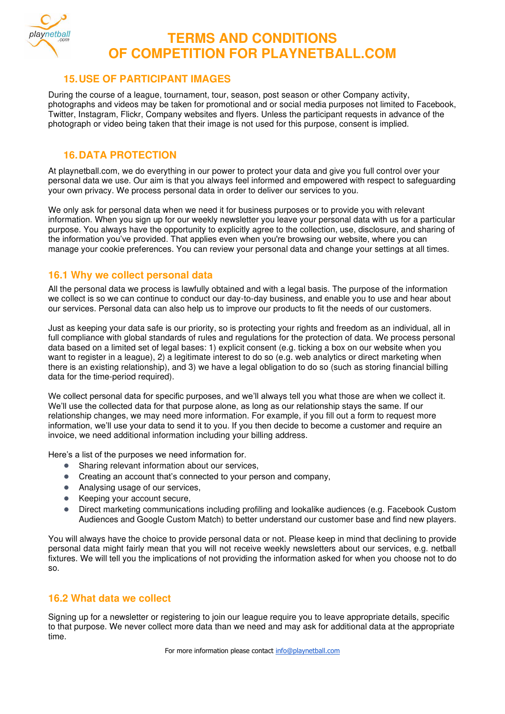

### **15. USE OF PARTICIPANT IMAGES**

During the course of a league, tournament, tour, season, post season or other Company activity, photographs and videos may be taken for promotional and or social media purposes not limited to Facebook, Twitter, Instagram, Flickr, Company websites and flyers. Unless the participant requests in advance of the photograph or video being taken that their image is not used for this purpose, consent is implied.

### **16. DATA PROTECTION**

At playnetball.com, we do everything in our power to protect your data and give you full control over your personal data we use. Our aim is that you always feel informed and empowered with respect to safeguarding your own privacy. We process personal data in order to deliver our services to you.

We only ask for personal data when we need it for business purposes or to provide you with relevant information. When you sign up for our weekly newsletter you leave your personal data with us for a particular purpose. You always have the opportunity to explicitly agree to the collection, use, disclosure, and sharing of the information you've provided. That applies even when you're browsing our website, where you can manage your cookie preferences. You can review your personal data and change your settings at all times.

## **16.1 Why we collect personal data**

All the personal data we process is lawfully obtained and with a legal basis. The purpose of the information we collect is so we can continue to conduct our day-to-day business, and enable you to use and hear about our services. Personal data can also help us to improve our products to fit the needs of our customers.

Just as keeping your data safe is our priority, so is protecting your rights and freedom as an individual, all in full compliance with global standards of rules and regulations for the protection of data. We process personal data based on a limited set of legal bases: 1) explicit consent (e.g. ticking a box on our website when you want to register in a league), 2) a legitimate interest to do so (e.g. web analytics or direct marketing when there is an existing relationship), and 3) we have a legal obligation to do so (such as storing financial billing data for the time-period required).

We collect personal data for specific purposes, and we'll always tell you what those are when we collect it. We'll use the collected data for that purpose alone, as long as our relationship stays the same. If our relationship changes, we may need more information. For example, if you fill out a form to request more information, we'll use your data to send it to you. If you then decide to become a customer and require an invoice, we need additional information including your billing address.

Here's a list of the purposes we need information for.

- Sharing relevant information about our services,
- Creating an account that's connected to your person and company,
- Analysing usage of our services.
- Keeping your account secure,
- Direct marketing communications including profiling and lookalike audiences (e.g. Facebook Custom Audiences and Google Custom Match) to better understand our customer base and find new players.

You will always have the choice to provide personal data or not. Please keep in mind that declining to provide personal data might fairly mean that you will not receive weekly newsletters about our services, e.g. netball fixtures. We will tell you the implications of not providing the information asked for when you choose not to do so.

## **16.2 What data we collect**

Signing up for a newsletter or registering to join our league require you to leave appropriate details, specific to that purpose. We never collect more data than we need and may ask for additional data at the appropriate time.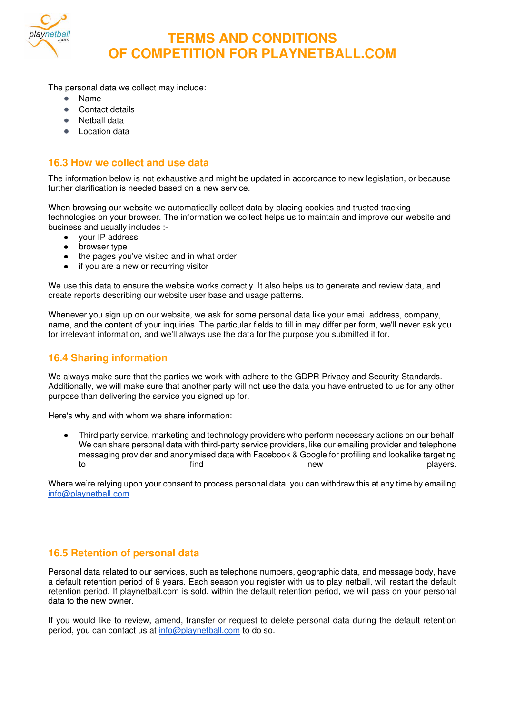

The personal data we collect may include:

- Name
- Contact details
- Netball data
- **Location data**

## **16.3 How we collect and use data**

The information below is not exhaustive and might be updated in accordance to new legislation, or because further clarification is needed based on a new service.

When browsing our website we automatically collect data by placing cookies and trusted tracking technologies on your browser. The information we collect helps us to maintain and improve our website and business and usually includes :-

- your IP address
- browser type
- the pages you've visited and in what order
- if you are a new or recurring visitor

We use this data to ensure the website works correctly. It also helps us to generate and review data, and create reports describing our website user base and usage patterns.

Whenever you sign up on our website, we ask for some personal data like your email address, company, name, and the content of your inquiries. The particular fields to fill in may differ per form, we'll never ask you for irrelevant information, and we'll always use the data for the purpose you submitted it for.

### **16.4 Sharing information**

We always make sure that the parties we work with adhere to the GDPR Privacy and Security Standards. Additionally, we will make sure that another party will not use the data you have entrusted to us for any other purpose than delivering the service you signed up for.

Here's why and with whom we share information:

Third party service, marketing and technology providers who perform necessary actions on our behalf. We can share personal data with third-party service providers, like our emailing provider and telephone messaging provider and anonymised data with Facebook & Google for profiling and lookalike targeting to the find the state of the state of the state of the find to the new state of the players.

Where we're relying upon your consent to process personal data, you can withdraw this at any time by emailing [info@playnetball.com.](mailto:info@playnetball.com)

## **16.5 Retention of personal data**

Personal data related to our services, such as telephone numbers, geographic data, and message body, have a default retention period of 6 years. Each season you register with us to play netball, will restart the default retention period. If playnetball.com is sold, within the default retention period, we will pass on your personal data to the new owner.

If you would like to review, amend, transfer or request to delete personal data during the default retention period, you can contact us at [info@playnetball.com](mailto:info@playnetball.com) to do so.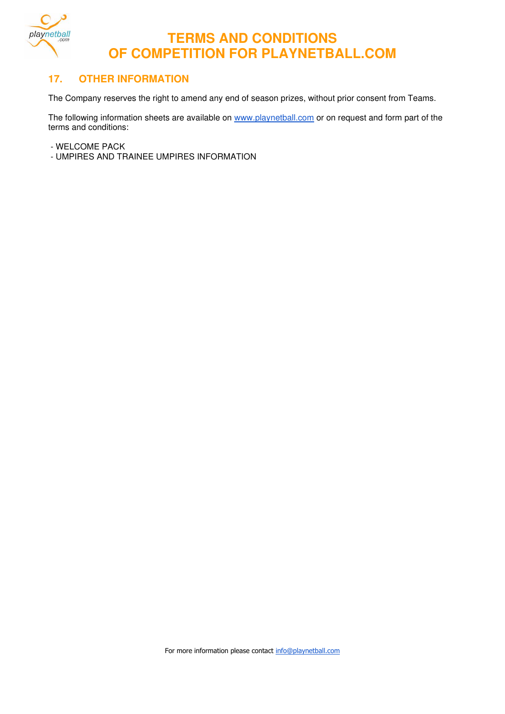

### **17. OTHER INFORMATION**

The Company reserves the right to amend any end of season prizes, without prior consent from Teams.

The following information sheets are available on [www.playnetball.com](http://www.playnetball.com/) or on request and form part of the terms and conditions:

- WELCOME PACK
- UMPIRES AND TRAINEE UMPIRES INFORMATION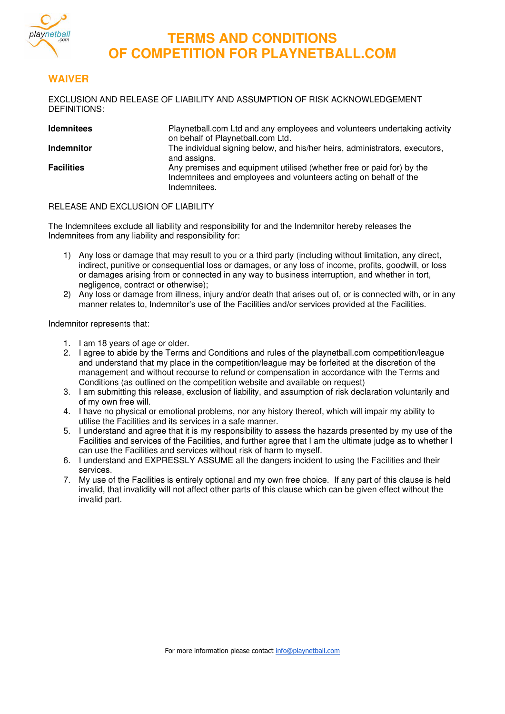

### **WAIVER**

EXCLUSION AND RELEASE OF LIABILITY AND ASSUMPTION OF RISK ACKNOWLEDGEMENT DEFINITIONS:

| <b>Idemnitees</b> | Playnetball.com Ltd and any employees and volunteers undertaking activity<br>on behalf of Playnetball.com Ltd.                                            |
|-------------------|-----------------------------------------------------------------------------------------------------------------------------------------------------------|
| <b>Indemnitor</b> | The individual signing below, and his/her heirs, administrators, executors,<br>and assigns.                                                               |
| <b>Facilities</b> | Any premises and equipment utilised (whether free or paid for) by the<br>Indemnitees and employees and volunteers acting on behalf of the<br>Indemnitees. |

#### RELEASE AND EXCLUSION OF LIABILITY

The Indemnitees exclude all liability and responsibility for and the Indemnitor hereby releases the Indemnitees from any liability and responsibility for:

- 1) Any loss or damage that may result to you or a third party (including without limitation, any direct, indirect, punitive or consequential loss or damages, or any loss of income, profits, goodwill, or loss or damages arising from or connected in any way to business interruption, and whether in tort, negligence, contract or otherwise);
- 2) Any loss or damage from illness, injury and/or death that arises out of, or is connected with, or in any manner relates to, Indemnitor's use of the Facilities and/or services provided at the Facilities.

Indemnitor represents that:

- 1. I am 18 years of age or older.
- 2. I agree to abide by the Terms and Conditions and rules of the playnetball.com competition/league and understand that my place in the competition/league may be forfeited at the discretion of the management and without recourse to refund or compensation in accordance with the Terms and Conditions (as outlined on the competition website and available on request)
- 3. I am submitting this release, exclusion of liability, and assumption of risk declaration voluntarily and of my own free will.
- 4. I have no physical or emotional problems, nor any history thereof, which will impair my ability to utilise the Facilities and its services in a safe manner.
- 5. I understand and agree that it is my responsibility to assess the hazards presented by my use of the Facilities and services of the Facilities, and further agree that I am the ultimate judge as to whether I can use the Facilities and services without risk of harm to myself.
- 6. I understand and EXPRESSLY ASSUME all the dangers incident to using the Facilities and their services.
- 7. My use of the Facilities is entirely optional and my own free choice. If any part of this clause is held invalid, that invalidity will not affect other parts of this clause which can be given effect without the invalid part.